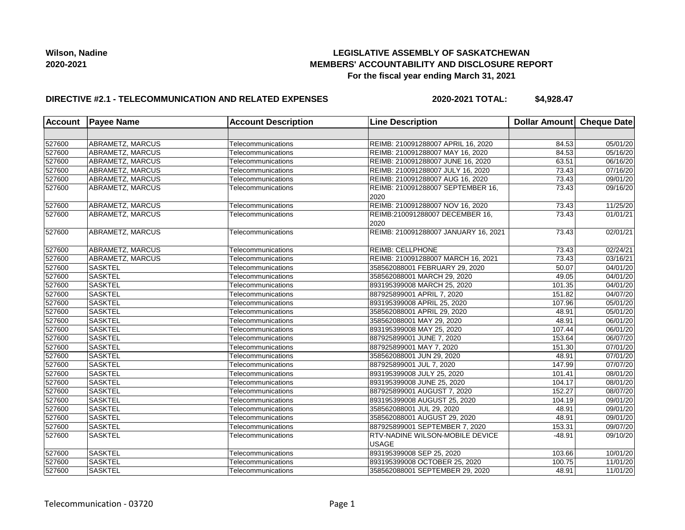## **LEGISLATIVE ASSEMBLY OF SASKATCHEWAN MEMBERS' ACCOUNTABILITY AND DISCLOSURE REPORT For the fiscal year ending March 31, 2021**

## **DIRECTIVE #2.1 - TELECOMMUNICATION AND RELATED EXPENSES**

**2020-2021 TOTAL: \$4,928.47**

| Account | <b>Payee Name</b><br><b>Account Description</b><br><b>Line Description</b> |                    | Dollar Amount Cheque Date              |          |                       |
|---------|----------------------------------------------------------------------------|--------------------|----------------------------------------|----------|-----------------------|
|         |                                                                            |                    |                                        |          |                       |
| 527600  | ABRAMETZ, MARCUS                                                           | Telecommunications | REIMB: 210091288007 APRIL 16, 2020     | 84.53    | 05/01/20              |
| 527600  | ABRAMETZ, MARCUS                                                           | Telecommunications | REIMB: 210091288007 MAY 16, 2020       | 84.53    | 05/16/20              |
| 527600  | ABRAMETZ, MARCUS                                                           | Telecommunications | REIMB: 210091288007 JUNE 16, 2020      | 63.51    | 06/16/20              |
| 527600  | ABRAMETZ, MARCUS                                                           | Telecommunications | REIMB: 210091288007 JULY 16, 2020      | 73.43    | 07/16/20              |
| 527600  | ABRAMETZ, MARCUS                                                           | Telecommunications | REIMB: 210091288007 AUG 16, 2020       | 73.43    | 09/01/20              |
| 527600  | ABRAMETZ, MARCUS                                                           | Telecommunications | REIMB: 210091288007 SEPTEMBER 16,      | 73.43    | 09/16/20              |
|         |                                                                            |                    | 2020                                   |          |                       |
| 527600  | ABRAMETZ, MARCUS                                                           | Telecommunications | REIMB: 210091288007 NOV 16, 2020       | 73.43    | 11/25/20              |
| 527600  | ABRAMETZ, MARCUS                                                           | Telecommunications | REIMB:210091288007 DECEMBER 16,        | 73.43    | 01/01/21              |
|         |                                                                            |                    | 2020                                   |          |                       |
| 527600  | ABRAMETZ, MARCUS                                                           | Telecommunications | REIMB: 210091288007 JANUARY 16, 2021   | 73.43    | 02/01/21              |
|         |                                                                            |                    |                                        |          |                       |
| 527600  | ABRAMETZ, MARCUS                                                           | Telecommunications | <b>REIMB: CELLPHONE</b>                | 73.43    | 02/24/21              |
| 527600  | ABRAMETZ, MARCUS                                                           | Telecommunications | REIMB: 210091288007 MARCH 16, 2021     | 73.43    | 03/16/21              |
| 527600  | <b>SASKTEL</b>                                                             | Telecommunications | 358562088001 FEBRUARY 29, 2020         | 50.07    | 04/01/20              |
| 527600  | <b>SASKTEL</b>                                                             | Telecommunications | 358562088001 MARCH 29, 2020            | 49.05    | 04/01/20              |
| 527600  | <b>SASKTEL</b>                                                             | Telecommunications | 893195399008 MARCH 25, 2020            | 101.35   | 04/01/20              |
| 527600  | <b>SASKTEL</b>                                                             | Telecommunications | 887925899001 APRIL 7, 2020             | 151.82   | 04/07/20              |
| 527600  | <b>SASKTEL</b>                                                             | Telecommunications | 893195399008 APRIL 25, 2020            | 107.96   | $\overline{05}/01/20$ |
| 527600  | <b>SASKTEL</b>                                                             | Telecommunications | 358562088001 APRIL 29, 2020            | 48.91    | 05/01/20              |
| 527600  | <b>SASKTEL</b>                                                             | Telecommunications | 358562088001 MAY 29, 2020              | 48.91    | 06/01/20              |
| 527600  | <b>SASKTEL</b>                                                             | Telecommunications | 893195399008 MAY 25, 2020              | 107.44   | 06/01/20              |
| 527600  | <b>SASKTEL</b>                                                             | Telecommunications | 887925899001 JUNE 7, 2020              | 153.64   | 06/07/20              |
| 527600  | <b>SASKTEL</b>                                                             | Telecommunications | 887925899001 MAY 7, 2020               | 151.30   | 07/01/20              |
| 527600  | <b>SASKTEL</b>                                                             | Telecommunications | 358562088001 JUN 29, 2020              | 48.91    | 07/01/20              |
| 527600  | <b>SASKTEL</b>                                                             | Telecommunications | 887925899001 JUL 7, 2020               | 147.99   | 07/07/20              |
| 527600  | SASKTEL                                                                    | Telecommunications | 893195399008 JULY 25, 2020             | 101.41   | 08/01/20              |
| 527600  | <b>SASKTEL</b>                                                             | Telecommunications | 893195399008 JUNE 25, 2020             | 104.17   | 08/01/20              |
| 527600  | <b>SASKTEL</b>                                                             | Telecommunications | 887925899001 AUGUST 7, 2020            | 152.27   | 08/07/20              |
| 527600  | <b>SASKTEL</b>                                                             | Telecommunications | 893195399008 AUGUST 25, 2020           | 104.19   | 09/01/20              |
| 527600  | <b>SASKTEL</b>                                                             | Telecommunications | 358562088001 JUL 29, 2020              | 48.91    | 09/01/20              |
| 527600  | <b>SASKTEL</b>                                                             | Telecommunications | 358562088001 AUGUST 29, 2020           | 48.91    | 09/01/20              |
| 527600  | <b>SASKTEL</b>                                                             | Telecommunications | 887925899001 SEPTEMBER 7, 2020         | 153.31   | 09/07/20              |
| 527600  | <b>SASKTEL</b>                                                             | Telecommunications | <b>RTV-NADINE WILSON-MOBILE DEVICE</b> | $-48.91$ | 09/10/20              |
|         |                                                                            |                    | <b>USAGE</b>                           |          |                       |
| 527600  | <b>SASKTEL</b>                                                             | Telecommunications | 893195399008 SEP 25, 2020              | 103.66   | 10/01/20              |
| 527600  | <b>SASKTEL</b>                                                             | Telecommunications | 893195399008 OCTOBER 25, 2020          | 100.75   | 11/01/20              |
| 527600  | <b>SASKTEL</b>                                                             | Telecommunications | 358562088001 SEPTEMBER 29, 2020        | 48.91    | 11/01/20              |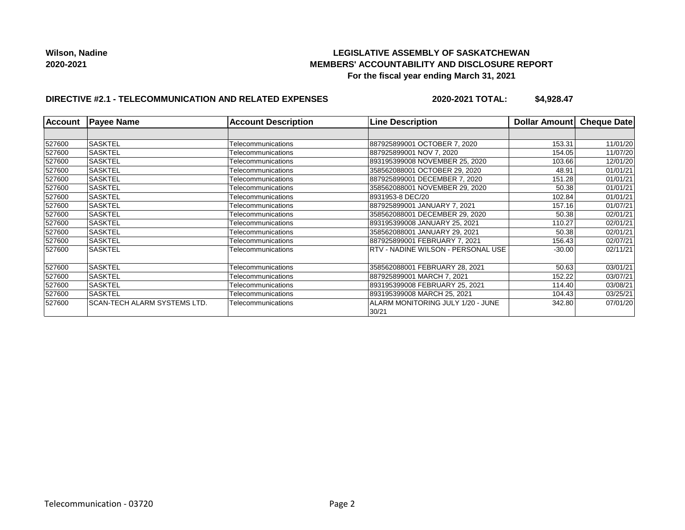## **LEGISLATIVE ASSEMBLY OF SASKATCHEWAN MEMBERS' ACCOUNTABILITY AND DISCLOSURE REPORT For the fiscal year ending March 31, 2021**

# **DIRECTIVE #2.1 - TELECOMMUNICATION AND RELATED EXPENSES**

**2020-2021 TOTAL: \$4,928.47**

| <b>Account</b> | <b>Payee Name</b>                   | <b>Account Description</b> | <b>Line Description</b>                    | Dollar Amount | <b>Cheque Date</b> |
|----------------|-------------------------------------|----------------------------|--------------------------------------------|---------------|--------------------|
|                |                                     |                            |                                            |               |                    |
| 527600         | <b>SASKTEL</b>                      | Telecommunications         | 887925899001 OCTOBER 7, 2020               | 153.31        | 11/01/20           |
| 527600         | <b>SASKTEL</b>                      | Telecommunications         | 887925899001 NOV 7.2020                    | 154.05        | 11/07/20           |
| 527600         | <b>SASKTEL</b>                      | Telecommunications         | 893195399008 NOVEMBER 25, 2020             | 103.66        | 12/01/20           |
| 527600         | <b>SASKTEL</b>                      | Telecommunications         | 358562088001 OCTOBER 29, 2020              | 48.91         | 01/01/21           |
| 527600         | <b>SASKTEL</b>                      | Telecommunications         | 887925899001 DECEMBER 7, 2020              | 151.28        | 01/01/21           |
| 527600         | <b>SASKTEL</b>                      | Telecommunications         | 358562088001 NOVEMBER 29, 2020             | 50.38         | 01/01/21           |
| 527600         | <b>SASKTEL</b>                      | Telecommunications         | 8931953-8 DEC/20                           | 102.84        | 01/01/21           |
| 527600         | <b>SASKTEL</b>                      | Telecommunications         | 887925899001 JANUARY 7. 2021               | 157.16        | 01/07/21           |
| 527600         | <b>SASKTEL</b>                      | Telecommunications         | 358562088001 DECEMBER 29, 2020             | 50.38         | 02/01/21           |
| 527600         | <b>SASKTEL</b>                      | Telecommunications         | 893195399008 JANUARY 25, 2021              | 110.27        | 02/01/21           |
| 527600         | <b>SASKTEL</b>                      | Telecommunications         | 358562088001 JANUARY 29, 2021              | 50.38         | 02/01/21           |
| 527600         | <b>SASKTEL</b>                      | Telecommunications         | 887925899001 FEBRUARY 7, 2021              | 156.43        | 02/07/21           |
| 527600         | <b>SASKTEL</b>                      | Telecommunications         | RTV - NADINE WILSON - PERSONAL USE         | $-30.00$      | 02/11/21           |
| 527600         | <b>SASKTEL</b>                      | Telecommunications         | 358562088001 FEBRUARY 28, 2021             | 50.63         | 03/01/21           |
| 527600         | <b>SASKTEL</b>                      | Telecommunications         | 887925899001 MARCH 7, 2021                 | 152.22        | 03/07/21           |
| 527600         | <b>SASKTEL</b>                      | Telecommunications         | 893195399008 FEBRUARY 25, 2021             | 114.40        | 03/08/21           |
| 527600         | <b>SASKTEL</b>                      | Telecommunications         | 893195399008 MARCH 25, 2021                | 104.43        | 03/25/21           |
| 527600         | <b>SCAN-TECH ALARM SYSTEMS LTD.</b> | Telecommunications         | ALARM MONITORING JULY 1/20 - JUNE<br>30/21 | 342.80        | 07/01/20           |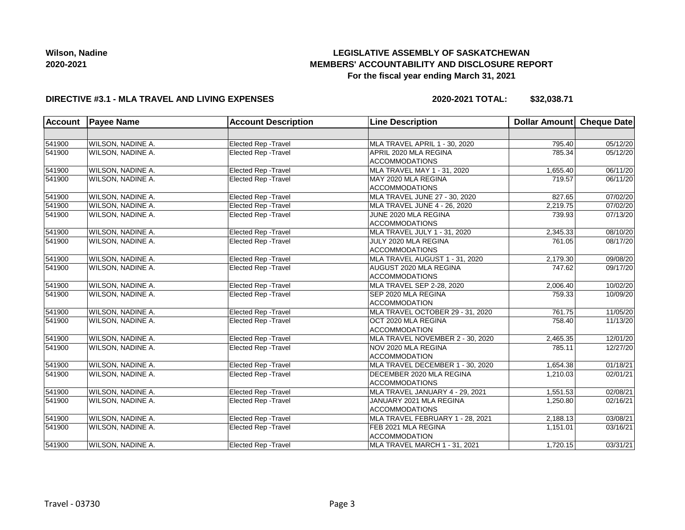# **LEGISLATIVE ASSEMBLY OF SASKATCHEWAN MEMBERS' ACCOUNTABILITY AND DISCLOSURE REPORT For the fiscal year ending March 31, 2021**

## **DIRECTIVE #3.1 - MLA TRAVEL AND LIVING EXPENSES**

**2020-2021 TOTAL: \$32,038.71**

| <b>Account</b> | <b>Payee Name</b>        | <b>Account Description</b><br><b>Line Description</b> |                                  | Dollar Amount Cheque Date |          |
|----------------|--------------------------|-------------------------------------------------------|----------------------------------|---------------------------|----------|
|                |                          |                                                       |                                  |                           |          |
| 541900         | WILSON, NADINE A.        | Elected Rep - Travel                                  | MLA TRAVEL APRIL 1 - 30, 2020    | 795.40                    | 05/12/20 |
| 541900         | WILSON, NADINE A.        | Elected Rep - Travel                                  | APRIL 2020 MLA REGINA            | 785.34                    | 05/12/20 |
|                |                          |                                                       | <b>ACCOMMODATIONS</b>            |                           |          |
| 541900         | WILSON, NADINE A.        | Elected Rep - Travel                                  | MLA TRAVEL MAY 1 - 31, 2020      | 1,655.40                  | 06/11/20 |
| 541900         | <b>WILSON, NADINE A.</b> | Elected Rep - Travel                                  | MAY 2020 MLA REGINA              | 719.57                    | 06/11/20 |
|                |                          |                                                       | <b>ACCOMMODATIONS</b>            |                           |          |
| 541900         | WILSON, NADINE A.        | Elected Rep - Travel                                  | MLA TRAVEL JUNE 27 - 30, 2020    | 827.65                    | 07/02/20 |
| 541900         | WILSON, NADINE A.        | <b>Elected Rep - Travel</b>                           | MLA TRAVEL JUNE 4 - 26, 2020     | 2,219.75                  | 07/02/20 |
| 541900         | WILSON, NADINE A.        | <b>Elected Rep - Travel</b>                           | JUNE 2020 MLA REGINA             | 739.93                    | 07/13/20 |
|                |                          |                                                       | <b>ACCOMMODATIONS</b>            |                           |          |
| 541900         | WILSON, NADINE A.        | Elected Rep - Travel                                  | MLA TRAVEL JULY 1 - 31, 2020     | 2,345.33                  | 08/10/20 |
| 541900         | WILSON, NADINE A.        | <b>Elected Rep - Travel</b>                           | JULY 2020 MLA REGINA             | 761.05                    | 08/17/20 |
|                |                          |                                                       | <b>ACCOMMODATIONS</b>            |                           |          |
| 541900         | <b>WILSON, NADINE A.</b> | Elected Rep - Travel                                  | MLA TRAVEL AUGUST 1 - 31, 2020   | 2,179.30                  | 09/08/20 |
| 541900         | WILSON, NADINE A.        | <b>Elected Rep - Travel</b>                           | AUGUST 2020 MLA REGINA           | 747.62                    | 09/17/20 |
|                |                          |                                                       | <b>ACCOMMODATIONS</b>            |                           |          |
| 541900         | WILSON, NADINE A.        | <b>Elected Rep - Travel</b>                           | MLA TRAVEL SEP 2-28, 2020        | 2,006.40                  | 10/02/20 |
| 541900         | WILSON, NADINE A.        | Elected Rep - Travel                                  | SEP 2020 MLA REGINA              | 759.33                    | 10/09/20 |
|                |                          |                                                       | <b>ACCOMMODATION</b>             |                           |          |
| 541900         | WILSON, NADINE A.        | <b>Elected Rep - Travel</b>                           | MLA TRAVEL OCTOBER 29 - 31, 2020 | 761.75                    | 11/05/20 |
| 541900         | WILSON, NADINE A.        | <b>Elected Rep - Travel</b>                           | OCT 2020 MLA REGINA              | 758.40                    | 11/13/20 |
|                |                          |                                                       | <b>ACCOMMODATION</b>             |                           |          |
| 541900         | WILSON, NADINE A.        | <b>Elected Rep - Travel</b>                           | MLA TRAVEL NOVEMBER 2 - 30, 2020 | 2,465.35                  | 12/01/20 |
| 541900         | WILSON, NADINE A.        | <b>Elected Rep - Travel</b>                           | NOV 2020 MLA REGINA              | 785.11                    | 12/27/20 |
|                |                          |                                                       | <b>ACCOMMODATION</b>             |                           |          |
| 541900         | WILSON, NADINE A.        | Elected Rep - Travel                                  | MLA TRAVEL DECEMBER 1 - 30, 2020 | 1,654.38                  | 01/18/21 |
| 541900         | WILSON, NADINE A.        | Elected Rep - Travel                                  | DECEMBER 2020 MLA REGINA         | 1,210.03                  | 02/01/21 |
|                |                          |                                                       | <b>ACCOMMODATIONS</b>            |                           |          |
| 541900         | WILSON, NADINE A.        | <b>Elected Rep - Travel</b>                           | MLA TRAVEL JANUARY 4 - 29, 2021  | 1,551.53                  | 02/08/21 |
| 541900         | WILSON, NADINE A.        | <b>Elected Rep - Travel</b>                           | JANUARY 2021 MLA REGINA          | 1,250.80                  | 02/16/21 |
|                |                          |                                                       | <b>ACCOMMODATIONS</b>            |                           |          |
| 541900         | <b>WILSON, NADINE A.</b> | Elected Rep - Travel                                  | MLA TRAVEL FEBRUARY 1 - 28, 2021 | 2,188.13                  | 03/08/21 |
| 541900         | WILSON, NADINE A.        | Elected Rep - Travel                                  | FEB 2021 MLA REGINA              | 1,151.01                  | 03/16/21 |
|                |                          |                                                       | <b>ACCOMMODATION</b>             |                           |          |
| 541900         | <b>WILSON, NADINE A.</b> | <b>Elected Rep - Travel</b>                           | MLA TRAVEL MARCH 1 - 31, 2021    | 1,720.15                  | 03/31/21 |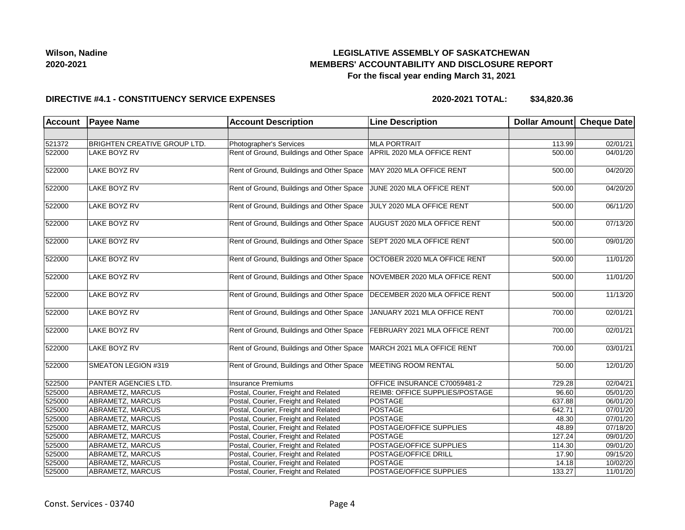## **LEGISLATIVE ASSEMBLY OF SASKATCHEWAN MEMBERS' ACCOUNTABILITY AND DISCLOSURE REPORT For the fiscal year ending March 31, 2021**

#### **DIRECTIVE #4.1 - CONSTITUENCY SERVICE EXPENSES**

| <b>Account</b> | <b>Payee Name</b>                   | <b>Account Description</b>                | <b>Line Description</b>               | Dollar Amount Cheque Date |          |
|----------------|-------------------------------------|-------------------------------------------|---------------------------------------|---------------------------|----------|
|                |                                     |                                           |                                       |                           |          |
| 521372         | <b>BRIGHTEN CREATIVE GROUP LTD.</b> | Photographer's Services                   | <b>MLA PORTRAIT</b>                   | 113.99                    | 02/01/21 |
| 522000         | <b>LAKE BOYZ RV</b>                 | Rent of Ground, Buildings and Other Space | APRIL 2020 MLA OFFICE RENT            | 500.00                    | 04/01/20 |
| 522000         | <b>LAKE BOYZ RV</b>                 | Rent of Ground, Buildings and Other Space | MAY 2020 MLA OFFICE RENT              | 500.00                    | 04/20/20 |
| 522000         | LAKE BOYZ RV                        | Rent of Ground, Buildings and Other Space | JUNE 2020 MLA OFFICE RENT             | 500.00                    | 04/20/20 |
| 522000         | <b>LAKE BOYZ RV</b>                 | Rent of Ground, Buildings and Other Space | JULY 2020 MLA OFFICE RENT             | $\overline{500.00}$       | 06/11/20 |
| 522000         | LAKE BOYZ RV                        | Rent of Ground, Buildings and Other Space | AUGUST 2020 MLA OFFICE RENT           | 500.00                    | 07/13/20 |
| 522000         | <b>LAKE BOYZ RV</b>                 | Rent of Ground, Buildings and Other Space | SEPT 2020 MLA OFFICE RENT             | 500.00                    | 09/01/20 |
| 522000         | <b>LAKE BOYZ RV</b>                 | Rent of Ground, Buildings and Other Space | OCTOBER 2020 MLA OFFICE RENT          | 500.00                    | 11/01/20 |
| 522000         | LAKE BOYZ RV                        | Rent of Ground, Buildings and Other Space | NOVEMBER 2020 MLA OFFICE RENT         | 500.00                    | 11/01/20 |
| 522000         | LAKE BOYZ RV                        | Rent of Ground, Buildings and Other Space | DECEMBER 2020 MLA OFFICE RENT         | 500.00                    | 11/13/20 |
| 522000         | LAKE BOYZ RV                        | Rent of Ground, Buildings and Other Space | JANUARY 2021 MLA OFFICE RENT          | 700.00                    | 02/01/21 |
| 522000         | LAKE BOYZ RV                        | Rent of Ground, Buildings and Other Space | FEBRUARY 2021 MLA OFFICE RENT         | 700.00                    | 02/01/21 |
| 522000         | LAKE BOYZ RV                        | Rent of Ground, Buildings and Other Space | MARCH 2021 MLA OFFICE RENT            | 700.00                    | 03/01/21 |
| 522000         | SMEATON LEGION #319                 | Rent of Ground, Buildings and Other Space | <b>MEETING ROOM RENTAL</b>            | 50.00                     | 12/01/20 |
| 522500         | PANTER AGENCIES LTD.                | <b>Insurance Premiums</b>                 | OFFICE INSURANCE C70059481-2          | 729.28                    | 02/04/21 |
| 525000         | ABRAMETZ, MARCUS                    | Postal, Courier, Freight and Related      | <b>REIMB: OFFICE SUPPLIES/POSTAGE</b> | 96.60                     | 05/01/20 |
| 525000         | ABRAMETZ, MARCUS                    | Postal, Courier, Freight and Related      | <b>POSTAGE</b>                        | 637.88                    | 06/01/20 |
| 525000         | ABRAMETZ, MARCUS                    | Postal, Courier, Freight and Related      | POSTAGE                               | 642.71                    | 07/01/20 |
| 525000         | ABRAMETZ, MARCUS                    | Postal, Courier, Freight and Related      | POSTAGE                               | 48.30                     | 07/01/20 |
| 525000         | ABRAMETZ, MARCUS                    | Postal, Courier, Freight and Related      | POSTAGE/OFFICE SUPPLIES               | 48.89                     | 07/18/20 |
| 525000         | ABRAMETZ, MARCUS                    | Postal, Courier, Freight and Related      | POSTAGE                               | 127.24                    | 09/01/20 |
| 525000         | ABRAMETZ, MARCUS                    | Postal, Courier, Freight and Related      | POSTAGE/OFFICE SUPPLIES               | 114.30                    | 09/01/20 |
| 525000         | ABRAMETZ, MARCUS                    | Postal, Courier, Freight and Related      | POSTAGE/OFFICE DRILL                  | 17.90                     | 09/15/20 |
| 525000         | ABRAMETZ, MARCUS                    | Postal, Courier, Freight and Related      | <b>POSTAGE</b>                        | 14.18                     | 10/02/20 |
| 525000         | ABRAMETZ, MARCUS                    | Postal, Courier, Freight and Related      | POSTAGE/OFFICE SUPPLIES               | 133.27                    | 11/01/20 |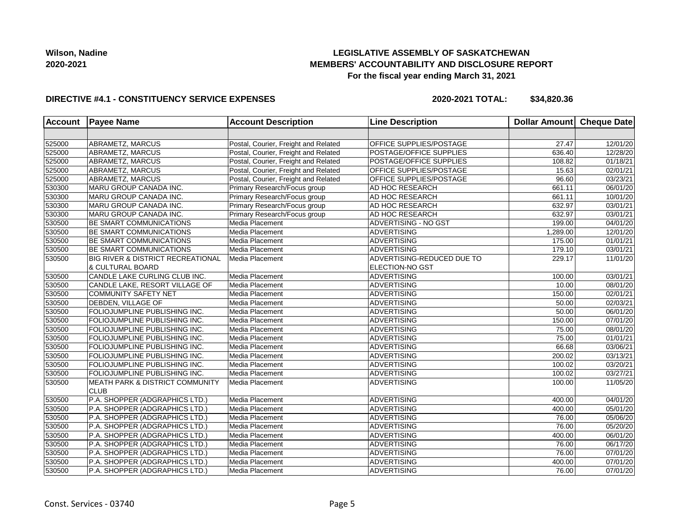## **LEGISLATIVE ASSEMBLY OF SASKATCHEWAN MEMBERS' ACCOUNTABILITY AND DISCLOSURE REPORT For the fiscal year ending March 31, 2021**

### **DIRECTIVE #4.1 - CONSTITUENCY SERVICE EXPENSES**

| Account | <b>Payee Name</b>                            | <b>Account Description</b>           | <b>Line Description</b>    | Dollar Amount | Cheque Date           |
|---------|----------------------------------------------|--------------------------------------|----------------------------|---------------|-----------------------|
|         |                                              |                                      |                            |               |                       |
| 525000  | ABRAMETZ, MARCUS                             | Postal, Courier, Freight and Related | OFFICE SUPPLIES/POSTAGE    | 27.47         | 12/01/20              |
| 525000  | ABRAMETZ, MARCUS                             | Postal, Courier, Freight and Related | POSTAGE/OFFICE SUPPLIES    | 636.40        | 12/28/20              |
| 525000  | ABRAMETZ, MARCUS                             | Postal, Courier, Freight and Related | POSTAGE/OFFICE SUPPLIES    | 108.82        | 01/18/21              |
| 525000  | <b>ABRAMETZ, MARCUS</b>                      | Postal, Courier, Freight and Related | OFFICE SUPPLIES/POSTAGE    | 15.63         | 02/01/21              |
| 525000  | ABRAMETZ, MARCUS                             | Postal, Courier, Freight and Related | OFFICE SUPPLIES/POSTAGE    | 96.60         | 03/23/21              |
| 530300  | MARU GROUP CANADA INC.                       | Primary Research/Focus group         | AD HOC RESEARCH            | 661.11        | 06/01/20              |
| 530300  | MARU GROUP CANADA INC.                       | Primary Research/Focus group         | AD HOC RESEARCH            | 661.11        | 10/01/20              |
| 530300  | MARU GROUP CANADA INC.                       | Primary Research/Focus group         | AD HOC RESEARCH            | 632.97        | 03/01/21              |
| 530300  | MARU GROUP CANADA INC.                       | Primary Research/Focus group         | AD HOC RESEARCH            | 632.97        | 03/01/21              |
| 530500  | <b>BE SMART COMMUNICATIONS</b>               | Media Placement                      | ADVERTISING - NO GST       | 199.00        | 04/01/20              |
| 530500  | BE SMART COMMUNICATIONS                      | Media Placement                      | <b>ADVERTISING</b>         | 1,289.00      | 12/01/20              |
| 530500  | <b>BE SMART COMMUNICATIONS</b>               | Media Placement                      | <b>ADVERTISING</b>         | 175.00        | 01/01/21              |
| 530500  | <b>BE SMART COMMUNICATIONS</b>               | Media Placement                      | <b>ADVERTISING</b>         | 179.10        | 03/01/21              |
| 530500  | <b>BIG RIVER &amp; DISTRICT RECREATIONAL</b> | Media Placement                      | ADVERTISING-REDUCED DUE TO | 229.17        | 11/01/20              |
|         | <b>&amp; CULTURAL BOARD</b>                  |                                      | <b>ELECTION-NO GST</b>     |               |                       |
| 530500  | CANDLE LAKE CURLING CLUB INC.                | Media Placement                      | ADVERTISING                | 100.00        | 03/01/21              |
| 530500  | CANDLE LAKE, RESORT VILLAGE OF               | Media Placement                      | <b>ADVERTISING</b>         | 10.00         | 08/01/20              |
| 530500  | <b>COMMUNITY SAFETY NET</b>                  | Media Placement                      | <b>ADVERTISING</b>         | 150.00        | 02/01/21              |
| 530500  | <b>DEBDEN, VILLAGE OF</b>                    | Media Placement                      | <b>ADVERTISING</b>         | 50.00         | 02/03/21              |
| 530500  | FOLIOJUMPLINE PUBLISHING INC.                | Media Placement                      | <b>ADVERTISING</b>         | 50.00         | 06/01/20              |
| 530500  | FOLIOJUMPLINE PUBLISHING INC.                | Media Placement                      | ADVERTISING                | 150.00        | 07/01/20              |
| 530500  | FOLIOJUMPLINE PUBLISHING INC.                | Media Placement                      | <b>ADVERTISING</b>         | 75.00         | 08/01/20              |
| 530500  | FOLIOJUMPLINE PUBLISHING INC.                | Media Placement                      | <b>ADVERTISING</b>         | 75.00         | 01/01/21              |
| 530500  | FOLIOJUMPLINE PUBLISHING INC.                | Media Placement                      | <b>ADVERTISING</b>         | 66.68         | 03/06/21              |
| 530500  | FOLIOJUMPLINE PUBLISHING INC.                | Media Placement                      | <b>ADVERTISING</b>         | 200.02        | 03/13/21              |
| 530500  | FOLIOJUMPLINE PUBLISHING INC.                | Media Placement                      | ADVERTISING                | 100.02        | 03/20/21              |
| 530500  | FOLIOJUMPLINE PUBLISHING INC.                | Media Placement                      | <b>ADVERTISING</b>         | 100.02        | 03/27/21              |
| 530500  | <b>MEATH PARK &amp; DISTRICT COMMUNITY</b>   | Media Placement                      | <b>ADVERTISING</b>         | 100.00        | 11/05/20              |
|         | <b>CLUB</b>                                  |                                      |                            |               |                       |
| 530500  | P.A. SHOPPER (ADGRAPHICS LTD.)               | Media Placement                      | <b>ADVERTISING</b>         | 400.00        | $\overline{04}/01/20$ |
| 530500  | P.A. SHOPPER (ADGRAPHICS LTD.)               | Media Placement                      | <b>ADVERTISING</b>         | 400.00        | 05/01/20              |
| 530500  | P.A. SHOPPER (ADGRAPHICS LTD.)               | Media Placement                      | <b>ADVERTISING</b>         | 76.00         | 05/06/20              |
| 530500  | P.A. SHOPPER (ADGRAPHICS LTD.)               | Media Placement                      | <b>ADVERTISING</b>         | 76.00         | 05/20/20              |
| 530500  | P.A. SHOPPER (ADGRAPHICS LTD.)               | Media Placement                      | <b>ADVERTISING</b>         | 400.00        | 06/01/20              |
| 530500  | P.A. SHOPPER (ADGRAPHICS LTD.)               | Media Placement                      | <b>ADVERTISING</b>         | 76.00         | $\overline{06}/17/20$ |
| 530500  | P.A. SHOPPER (ADGRAPHICS LTD.)               | Media Placement                      | <b>ADVERTISING</b>         | 76.00         | 07/01/20              |
| 530500  | P.A. SHOPPER (ADGRAPHICS LTD.)               | Media Placement                      | <b>ADVERTISING</b>         | 400.00        | 07/01/20              |
| 530500  | P.A. SHOPPER (ADGRAPHICS LTD.)               | Media Placement                      | ADVERTISING                | 76.00         | 07/01/20              |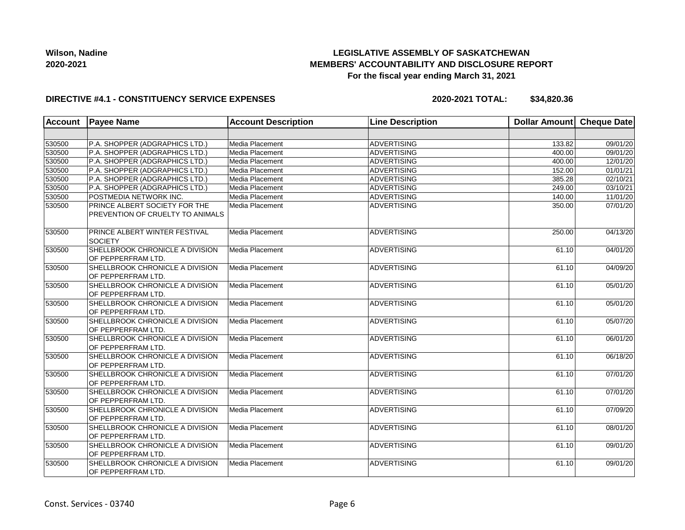## **LEGISLATIVE ASSEMBLY OF SASKATCHEWAN MEMBERS' ACCOUNTABILITY AND DISCLOSURE REPORT For the fiscal year ending March 31, 2021**

### **DIRECTIVE #4.1 - CONSTITUENCY SERVICE EXPENSES**

| <b>Account</b> | <b>Payee Name</b>                                                 | <b>Account Description</b> | <b>Line Description</b> | Dollar Amount | Cheque Date |
|----------------|-------------------------------------------------------------------|----------------------------|-------------------------|---------------|-------------|
|                |                                                                   |                            |                         |               |             |
| 530500         | P.A. SHOPPER (ADGRAPHICS LTD.)                                    | Media Placement            | ADVERTISING             | 133.82        | 09/01/20    |
| 530500         | P.A. SHOPPER (ADGRAPHICS LTD.)                                    | Media Placement            | <b>ADVERTISING</b>      | 400.00        | 09/01/20    |
| 530500         | P.A. SHOPPER (ADGRAPHICS LTD.)                                    | Media Placement            | ADVERTISING             | 400.00        | 12/01/20    |
| 530500         | P.A. SHOPPER (ADGRAPHICS LTD.)                                    | Media Placement            | ADVERTISING             | 152.00        | 01/01/21    |
| 530500         | P.A. SHOPPER (ADGRAPHICS LTD.)                                    | Media Placement            | ADVERTISING             | 385.28        | 02/10/21    |
| 530500         | P.A. SHOPPER (ADGRAPHICS LTD.)                                    | Media Placement            | ADVERTISING             | 249.00        | 03/10/21    |
| 530500         | POSTMEDIA NETWORK INC.                                            | Media Placement            | ADVERTISING             | 140.00        | 11/01/20    |
| 530500         | PRINCE ALBERT SOCIETY FOR THE<br>PREVENTION OF CRUELTY TO ANIMALS | Media Placement            | ADVERTISING             | 350.00        | 07/01/20    |
| 530500         | PRINCE ALBERT WINTER FESTIVAL<br><b>SOCIETY</b>                   | Media Placement            | ADVERTISING             | 250.00        | 04/13/20    |
| 530500         | SHELLBROOK CHRONICLE A DIVISION<br>OF PEPPERFRAM LTD.             | Media Placement            | ADVERTISING             | 61.10         | 04/01/20    |
| 530500         | SHELLBROOK CHRONICLE A DIVISION<br>OF PEPPERFRAM LTD.             | Media Placement            | ADVERTISING             | 61.10         | 04/09/20    |
| 530500         | SHELLBROOK CHRONICLE A DIVISION<br>OF PEPPERFRAM LTD.             | Media Placement            | ADVERTISING             | 61.10         | 05/01/20    |
| 530500         | SHELLBROOK CHRONICLE A DIVISION<br>OF PEPPERFRAM LTD.             | Media Placement            | ADVERTISING             | 61.10         | 05/01/20    |
| 530500         | SHELLBROOK CHRONICLE A DIVISION<br>OF PEPPERFRAM LTD.             | Media Placement            | ADVERTISING             | 61.10         | 05/07/20    |
| 530500         | <b>SHELLBROOK CHRONICLE A DIVISION</b><br>OF PEPPERFRAM LTD.      | Media Placement            | <b>ADVERTISING</b>      | 61.10         | 06/01/20    |
| 530500         | SHELLBROOK CHRONICLE A DIVISION<br>OF PEPPERFRAM LTD.             | Media Placement            | ADVERTISING             | 61.10         | 06/18/20    |
| 530500         | SHELLBROOK CHRONICLE A DIVISION<br>OF PEPPERFRAM LTD.             | Media Placement            | <b>ADVERTISING</b>      | 61.10         | 07/01/20    |
| 530500         | SHELLBROOK CHRONICLE A DIVISION<br>OF PEPPERFRAM LTD.             | Media Placement            | ADVERTISING             | 61.10         | 07/01/20    |
| 530500         | SHELLBROOK CHRONICLE A DIVISION<br>OF PEPPERFRAM LTD.             | Media Placement            | ADVERTISING             | 61.10         | 07/09/20    |
| 530500         | SHELLBROOK CHRONICLE A DIVISION<br>OF PEPPERFRAM LTD.             | Media Placement            | ADVERTISING             | 61.10         | 08/01/20    |
| 530500         | SHELLBROOK CHRONICLE A DIVISION<br>OF PEPPERFRAM LTD.             | Media Placement            | ADVERTISING             | 61.10         | 09/01/20    |
| 530500         | SHELLBROOK CHRONICLE A DIVISION<br>OF PEPPERFRAM LTD.             | Media Placement            | ADVERTISING             | 61.10         | 09/01/20    |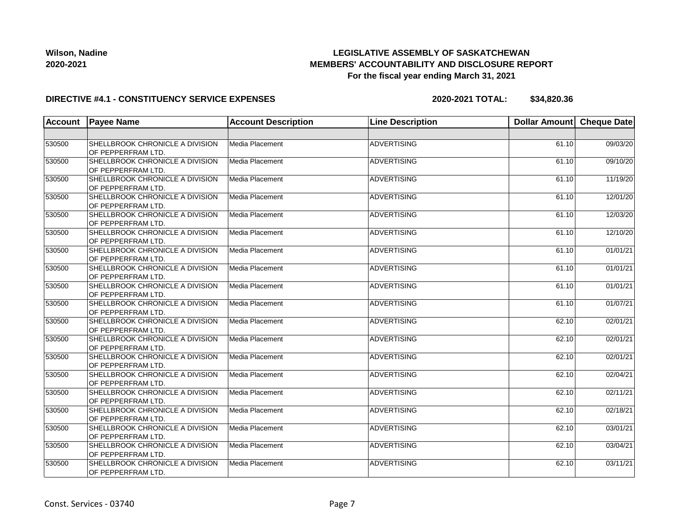## **LEGISLATIVE ASSEMBLY OF SASKATCHEWAN MEMBERS' ACCOUNTABILITY AND DISCLOSURE REPORT For the fiscal year ending March 31, 2021**

### **DIRECTIVE #4.1 - CONSTITUENCY SERVICE EXPENSES**

| Account | <b>Payee Name</b>                                     | <b>Account Description</b> | <b>Line Description</b> | Dollar Amount Cheque Date |          |
|---------|-------------------------------------------------------|----------------------------|-------------------------|---------------------------|----------|
|         |                                                       |                            |                         |                           |          |
| 530500  | SHELLBROOK CHRONICLE A DIVISION<br>OF PEPPERFRAM LTD. | Media Placement            | <b>ADVERTISING</b>      | 61.10                     | 09/03/20 |
| 530500  | SHELLBROOK CHRONICLE A DIVISION<br>OF PEPPERFRAM LTD. | Media Placement            | ADVERTISING             | 61.10                     | 09/10/20 |
| 530500  | SHELLBROOK CHRONICLE A DIVISION<br>OF PEPPERFRAM LTD. | Media Placement            | ADVERTISING             | 61.10                     | 11/19/20 |
| 530500  | SHELLBROOK CHRONICLE A DIVISION<br>OF PEPPERFRAM LTD. | Media Placement            | ADVERTISING             | 61.10                     | 12/01/20 |
| 530500  | SHELLBROOK CHRONICLE A DIVISION<br>OF PEPPERFRAM LTD. | Media Placement            | ADVERTISING             | 61.10                     | 12/03/20 |
| 530500  | SHELLBROOK CHRONICLE A DIVISION<br>OF PEPPERFRAM LTD. | Media Placement            | ADVERTISING             | 61.10                     | 12/10/20 |
| 530500  | SHELLBROOK CHRONICLE A DIVISION<br>OF PEPPERFRAM LTD. | Media Placement            | ADVERTISING             | 61.10                     | 01/01/21 |
| 530500  | SHELLBROOK CHRONICLE A DIVISION<br>OF PEPPERFRAM LTD. | Media Placement            | ADVERTISING             | 61.10                     | 01/01/21 |
| 530500  | SHELLBROOK CHRONICLE A DIVISION<br>OF PEPPERFRAM LTD. | Media Placement            | <b>ADVERTISING</b>      | 61.10                     | 01/01/21 |
| 530500  | SHELLBROOK CHRONICLE A DIVISION<br>OF PEPPERFRAM LTD. | Media Placement            | ADVERTISING             | 61.10                     | 01/07/21 |
| 530500  | SHELLBROOK CHRONICLE A DIVISION<br>OF PEPPERFRAM LTD. | Media Placement            | ADVERTISING             | 62.10                     | 02/01/21 |
| 530500  | SHELLBROOK CHRONICLE A DIVISION<br>OF PEPPERFRAM LTD. | Media Placement            | ADVERTISING             | 62.10                     | 02/01/21 |
| 530500  | SHELLBROOK CHRONICLE A DIVISION<br>OF PEPPERFRAM LTD. | Media Placement            | ADVERTISING             | 62.10                     | 02/01/21 |
| 530500  | SHELLBROOK CHRONICLE A DIVISION<br>OF PEPPERFRAM LTD. | Media Placement            | ADVERTISING             | 62.10                     | 02/04/21 |
| 530500  | SHELLBROOK CHRONICLE A DIVISION<br>OF PEPPERFRAM LTD. | Media Placement            | ADVERTISING             | 62.10                     | 02/11/21 |
| 530500  | SHELLBROOK CHRONICLE A DIVISION<br>OF PEPPERFRAM LTD. | Media Placement            | ADVERTISING             | 62.10                     | 02/18/21 |
| 530500  | SHELLBROOK CHRONICLE A DIVISION<br>OF PEPPERFRAM LTD. | Media Placement            | ADVERTISING             | 62.10                     | 03/01/21 |
| 530500  | SHELLBROOK CHRONICLE A DIVISION<br>OF PEPPERFRAM LTD. | Media Placement            | ADVERTISING             | 62.10                     | 03/04/21 |
| 530500  | SHELLBROOK CHRONICLE A DIVISION<br>OF PEPPERFRAM LTD. | Media Placement            | ADVERTISING             | 62.10                     | 03/11/21 |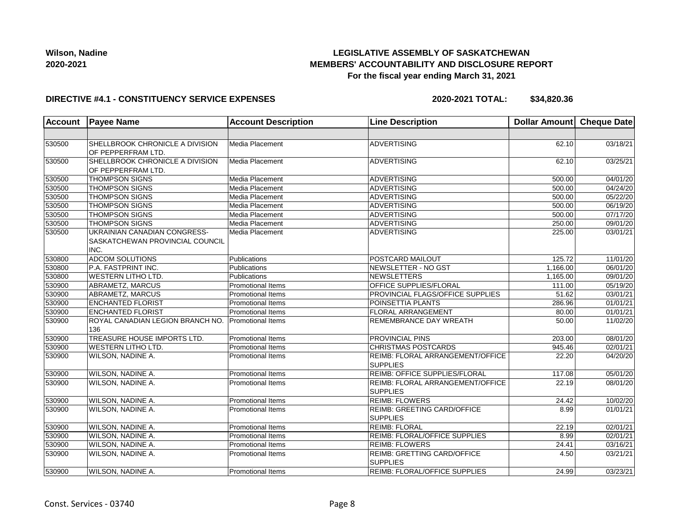## **LEGISLATIVE ASSEMBLY OF SASKATCHEWAN MEMBERS' ACCOUNTABILITY AND DISCLOSURE REPORT For the fiscal year ending March 31, 2021**

#### **DIRECTIVE #4.1 - CONSTITUENCY SERVICE EXPENSES**

| <b>Account</b> | <b>Payee Name</b>                                                       | <b>Account Description</b> | <b>Line Description</b>                                    | Dollar Amount Cheque Date |                       |
|----------------|-------------------------------------------------------------------------|----------------------------|------------------------------------------------------------|---------------------------|-----------------------|
|                |                                                                         |                            |                                                            |                           |                       |
| 530500         | SHELLBROOK CHRONICLE A DIVISION<br>OF PEPPERFRAM LTD.                   | Media Placement            | <b>ADVERTISING</b>                                         | 62.10                     | 03/18/21              |
| 530500         | SHELLBROOK CHRONICLE A DIVISION<br>OF PEPPERFRAM LTD.                   | Media Placement            | <b>ADVERTISING</b>                                         | 62.10                     | 03/25/21              |
| 530500         | <b>THOMPSON SIGNS</b>                                                   | Media Placement            | <b>ADVERTISING</b>                                         | 500.00                    | 04/01/20              |
| 530500         | <b>THOMPSON SIGNS</b>                                                   | Media Placement            | <b>ADVERTISING</b>                                         | 500.00                    | $\sqrt{04}/24/20$     |
| 530500         | <b>THOMPSON SIGNS</b>                                                   | Media Placement            | <b>ADVERTISING</b>                                         | 500.00                    | 05/22/20              |
| 530500         | <b>THOMPSON SIGNS</b>                                                   | Media Placement            | <b>ADVERTISING</b>                                         | 500.00                    | 06/19/20              |
| 530500         | <b>THOMPSON SIGNS</b>                                                   | Media Placement            | ADVERTISING                                                | 500.00                    | 07/17/20              |
| 530500         | <b>THOMPSON SIGNS</b>                                                   | Media Placement            | ADVERTISING                                                | 250.00                    | 09/01/20              |
| 530500         | UKRAINIAN CANADIAN CONGRESS-<br>SASKATCHEWAN PROVINCIAL COUNCIL<br>INC. | Media Placement            | <b>ADVERTISING</b>                                         | 225.00                    | 03/01/21              |
| 530800         | <b>ADCOM SOLUTIONS</b>                                                  | Publications               | POSTCARD MAILOUT                                           | 125.72                    | 11/01/20              |
| 530800         | P.A. FASTPRINT INC.                                                     | Publications               | NEWSLETTER - NO GST                                        | 1,166.00                  | 06/01/20              |
| 530800         | <b>WESTERN LITHO LTD.</b>                                               | Publications               | NEWSLETTERS                                                | 1,165.00                  | 09/01/20              |
| 530900         | <b>ABRAMETZ, MARCUS</b>                                                 | <b>Promotional Items</b>   | OFFICE SUPPLIES/FLORAL                                     | 111.00                    | 05/19/20              |
| 530900         | ABRAMETZ, MARCUS                                                        | <b>Promotional Items</b>   | PROVINCIAL FLAGS/OFFICE SUPPLIES                           | 51.62                     | 03/01/21              |
| 530900         | <b>ENCHANTED FLORIST</b>                                                | <b>Promotional Items</b>   | POINSETTIA PLANTS                                          | 286.96                    | 01/01/21              |
| 530900         | <b>ENCHANTED FLORIST</b>                                                | <b>Promotional Items</b>   | <b>FLORAL ARRANGEMENT</b>                                  | 80.00                     | 01/01/21              |
| 530900         | ROYAL CANADIAN LEGION BRANCH NO.<br>136                                 | <b>Promotional Items</b>   | REMEMBRANCE DAY WREATH                                     | 50.00                     | 11/02/20              |
| 530900         | TREASURE HOUSE IMPORTS LTD.                                             | <b>Promotional Items</b>   | <b>PROVINCIAL PINS</b>                                     | 203.00                    | 08/01/20              |
| 530900         | <b>WESTERN LITHO LTD.</b>                                               | <b>Promotional Items</b>   | <b>CHRISTMAS POSTCARDS</b>                                 | 945.46                    | $\overline{02/01/21}$ |
| 530900         | WILSON, NADINE A.                                                       | <b>Promotional Items</b>   | REIMB: FLORAL ARRANGEMENT/OFFICE<br><b>SUPPLIES</b>        | 22.20                     | 04/20/20              |
| 530900         | WILSON, NADINE A.                                                       | <b>Promotional Items</b>   | <b>REIMB: OFFICE SUPPLIES/FLORAL</b>                       | 117.08                    | 05/01/20              |
| 530900         | <b>WILSON, NADINE A.</b>                                                | <b>Promotional Items</b>   | <b>REIMB: FLORAL ARRANGEMENT/OFFICE</b><br><b>SUPPLIES</b> | 22.19                     | 08/01/20              |
| 530900         | WILSON, NADINE A.                                                       | <b>Promotional Items</b>   | <b>REIMB: FLOWERS</b>                                      | 24.42                     | 10/02/20              |
| 530900         | <b>WILSON, NADINE A.</b>                                                | <b>Promotional Items</b>   | REIMB: GREETING CARD/OFFICE<br><b>SUPPLIES</b>             | 8.99                      | 01/01/21              |
| 530900         | WILSON, NADINE A.                                                       | Promotional Items          | <b>REIMB: FLORAL</b>                                       | 22.19                     | 02/01/21              |
| 530900         | <b>WILSON, NADINE A.</b>                                                | <b>Promotional Items</b>   | <b>REIMB: FLORAL/OFFICE SUPPLIES</b>                       | 8.99                      | 02/01/21              |
| 530900         | WILSON, NADINE A.                                                       | <b>Promotional Items</b>   | <b>REIMB: FLOWERS</b>                                      | 24.41                     | 03/16/21              |
| 530900         | WILSON, NADINE A.                                                       | <b>Promotional Items</b>   | <b>REIMB: GRETTING CARD/OFFICE</b><br><b>SUPPLIES</b>      | 4.50                      | 03/21/21              |
| 530900         | WILSON, NADINE A.                                                       | Promotional Items          | REIMB: FLORAL/OFFICE SUPPLIES                              | 24.99                     | 03/23/21              |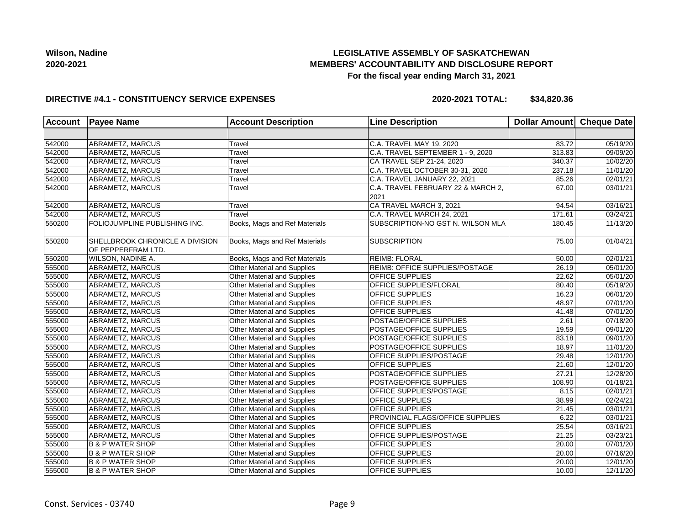## **LEGISLATIVE ASSEMBLY OF SASKATCHEWAN MEMBERS' ACCOUNTABILITY AND DISCLOSURE REPORT For the fiscal year ending March 31, 2021**

### **DIRECTIVE #4.1 - CONSTITUENCY SERVICE EXPENSES**

| <b>Account</b> | <b>Payee Name</b><br><b>Account Description</b><br><b>Line Description</b> |                                    | Dollar Amount Cheque Date          |        |                       |
|----------------|----------------------------------------------------------------------------|------------------------------------|------------------------------------|--------|-----------------------|
|                |                                                                            |                                    |                                    |        |                       |
| 542000         | ABRAMETZ, MARCUS                                                           | Travel                             | C.A. TRAVEL MAY 19, 2020           | 83.72  | 05/19/20              |
| 542000         | ABRAMETZ, MARCUS                                                           | Travel                             | C.A. TRAVEL SEPTEMBER 1 - 9, 2020  | 313.83 | 09/09/20              |
| 542000         | ABRAMETZ, MARCUS                                                           | Travel                             | CA TRAVEL SEP 21-24, 2020          | 340.37 | 10/02/20              |
| 542000         | ABRAMETZ, MARCUS                                                           | Travel                             | C.A. TRAVEL OCTOBER 30-31, 2020    | 237.18 | 11/01/20              |
| 542000         | ABRAMETZ, MARCUS                                                           | Travel                             | C.A. TRAVEL JANUARY 22, 2021       | 85.26  | 02/01/21              |
| 542000         | ABRAMETZ, MARCUS                                                           | Travel                             | C.A. TRAVEL FEBRUARY 22 & MARCH 2, | 67.00  | 03/01/21              |
|                |                                                                            |                                    | 2021                               |        |                       |
| 542000         | ABRAMETZ, MARCUS                                                           | Travel                             | CA TRAVEL MARCH 3, 2021            | 94.54  | 03/16/21              |
| 542000         | <b>ABRAMETZ, MARCUS</b>                                                    | Travel                             | C.A. TRAVEL MARCH 24, 2021         | 171.61 | 03/24/21              |
| 550200         | FOLIOJUMPLINE PUBLISHING INC.                                              | Books, Mags and Ref Materials      | SUBSCRIPTION-NO GST N. WILSON MLA  | 180.45 | 11/13/20              |
| 550200         | SHELLBROOK CHRONICLE A DIVISION<br>OF PEPPERFRAM LTD.                      | Books, Mags and Ref Materials      | <b>SUBSCRIPTION</b>                | 75.00  | 01/04/21              |
| 550200         | WILSON, NADINE A.                                                          | Books, Mags and Ref Materials      | <b>REIMB: FLORAL</b>               | 50.00  | 02/01/21              |
| 555000         | ABRAMETZ, MARCUS                                                           | Other Material and Supplies        | REIMB: OFFICE SUPPLIES/POSTAGE     | 26.19  | 05/01/20              |
| 555000         | ABRAMETZ, MARCUS                                                           | Other Material and Supplies        | OFFICE SUPPLIES                    | 22.62  | 05/01/20              |
| 555000         | ABRAMETZ, MARCUS                                                           | Other Material and Supplies        | OFFICE SUPPLIES/FLORAL             | 80.40  | 05/19/20              |
| 555000         | ABRAMETZ, MARCUS                                                           | Other Material and Supplies        | OFFICE SUPPLIES                    | 16.23  | 06/01/20              |
| 555000         | ABRAMETZ, MARCUS                                                           | Other Material and Supplies        | OFFICE SUPPLIES                    | 48.97  | $\overline{07/01/20}$ |
| 555000         | ABRAMETZ, MARCUS                                                           | <b>Other Material and Supplies</b> | OFFICE SUPPLIES                    | 41.48  | $\overline{07/0}1/20$ |
| 555000         | ABRAMETZ, MARCUS                                                           | Other Material and Supplies        | <b>POSTAGE/OFFICE SUPPLIES</b>     | 2.61   | $\overline{07/18/20}$ |
| 555000         | ABRAMETZ, MARCUS                                                           | Other Material and Supplies        | POSTAGE/OFFICE SUPPLIES            | 19.59  | 09/01/20              |
| 555000         | ABRAMETZ, MARCUS                                                           | Other Material and Supplies        | POSTAGE/OFFICE SUPPLIES            | 83.18  | 09/01/20              |
| 555000         | ABRAMETZ, MARCUS                                                           | <b>Other Material and Supplies</b> | POSTAGE/OFFICE SUPPLIES            | 18.97  | 11/01/20              |
| 555000         | ABRAMETZ, MARCUS                                                           | Other Material and Supplies        | OFFICE SUPPLIES/POSTAGE            | 29.48  | 12/01/20              |
| 555000         | ABRAMETZ, MARCUS                                                           | Other Material and Supplies        | OFFICE SUPPLIES                    | 21.60  | 12/01/20              |
| 555000         | ABRAMETZ, MARCUS                                                           | Other Material and Supplies        | <b>POSTAGE/OFFICE SUPPLIES</b>     | 27.21  | 12/28/20              |
| 555000         | ABRAMETZ, MARCUS                                                           | Other Material and Supplies        | POSTAGE/OFFICE SUPPLIES            | 108.90 | 01/18/21              |
| 555000         | ABRAMETZ, MARCUS                                                           | Other Material and Supplies        | OFFICE SUPPLIES/POSTAGE            | 8.15   | 02/01/21              |
| 555000         | ABRAMETZ, MARCUS                                                           | Other Material and Supplies        | OFFICE SUPPLIES                    | 38.99  | 02/24/21              |
| 555000         | ABRAMETZ, MARCUS                                                           | Other Material and Supplies        | OFFICE SUPPLIES                    | 21.45  | 03/01/21              |
| 555000         | ABRAMETZ, MARCUS                                                           | Other Material and Supplies        | PROVINCIAL FLAGS/OFFICE SUPPLIES   | 6.22   | 03/01/21              |
| 555000         | ABRAMETZ, MARCUS                                                           | Other Material and Supplies        | OFFICE SUPPLIES                    | 25.54  | 03/16/21              |
| 555000         | ABRAMETZ, MARCUS                                                           | <b>Other Material and Supplies</b> | OFFICE SUPPLIES/POSTAGE            | 21.25  | 03/23/21              |
| 555000         | <b>B &amp; P WATER SHOP</b>                                                | <b>Other Material and Supplies</b> | OFFICE SUPPLIES                    | 20.00  | 07/01/20              |
| 555000         | <b>B &amp; P WATER SHOP</b>                                                | Other Material and Supplies        | OFFICE SUPPLIES                    | 20.00  | $\overline{07/16/20}$ |
| 555000         | <b>B &amp; P WATER SHOP</b>                                                | Other Material and Supplies        | <b>OFFICE SUPPLIES</b>             | 20.00  | 12/01/20              |
| 555000         | <b>B &amp; P WATER SHOP</b>                                                | Other Material and Supplies        | OFFICE SUPPLIES                    | 10.00  | 12/11/20              |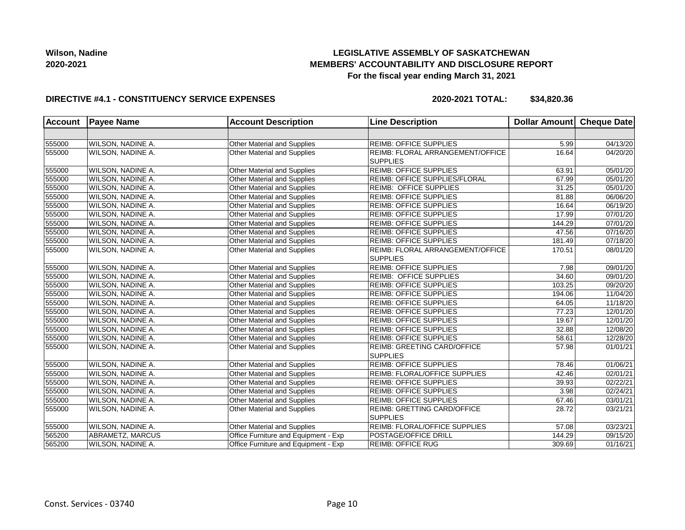## **LEGISLATIVE ASSEMBLY OF SASKATCHEWAN MEMBERS' ACCOUNTABILITY AND DISCLOSURE REPORT For the fiscal year ending March 31, 2021**

### **DIRECTIVE #4.1 - CONSTITUENCY SERVICE EXPENSES**

| <b>Account</b><br><b>Payee Name</b> |                   | <b>Account Description</b>           | <b>Line Description</b>                             |        | Dollar Amount Cheque Date |
|-------------------------------------|-------------------|--------------------------------------|-----------------------------------------------------|--------|---------------------------|
|                                     |                   |                                      |                                                     |        |                           |
| 555000                              | WILSON, NADINE A. | Other Material and Supplies          | <b>REIMB: OFFICE SUPPLIES</b>                       | 5.99   | 04/13/20                  |
| 555000                              | WILSON, NADINE A. | <b>Other Material and Supplies</b>   | REIMB: FLORAL ARRANGEMENT/OFFICE<br><b>SUPPLIES</b> | 16.64  | 04/20/20                  |
| 555000                              | WILSON, NADINE A. | Other Material and Supplies          | <b>REIMB: OFFICE SUPPLIES</b>                       | 63.91  | 05/01/20                  |
| 555000                              | WILSON, NADINE A. | Other Material and Supplies          | REIMB: OFFICE SUPPLIES/FLORAL                       | 67.99  | 05/01/20                  |
| 555000                              | WILSON, NADINE A. | Other Material and Supplies          | <b>REIMB: OFFICE SUPPLIES</b>                       | 31.25  | $\overline{05/0}1/20$     |
| 555000                              | WILSON, NADINE A. | Other Material and Supplies          | <b>REIMB: OFFICE SUPPLIES</b>                       | 81.88  | 06/06/20                  |
| 555000                              | WILSON, NADINE A. | Other Material and Supplies          | <b>REIMB: OFFICE SUPPLIES</b>                       | 16.64  | $\overline{06/19/20}$     |
| 555000                              | WILSON, NADINE A. | Other Material and Supplies          | REIMB: OFFICE SUPPLIES                              | 17.99  | 07/01/20                  |
| 555000                              | WILSON, NADINE A. | Other Material and Supplies          | <b>REIMB: OFFICE SUPPLIES</b>                       | 144.29 | 07/01/20                  |
| 555000                              | WILSON, NADINE A. | Other Material and Supplies          | <b>REIMB: OFFICE SUPPLIES</b>                       | 47.56  | 07/16/20                  |
| 555000                              | WILSON, NADINE A. | Other Material and Supplies          | <b>REIMB: OFFICE SUPPLIES</b>                       | 181.49 | 07/18/20                  |
| 555000                              | WILSON, NADINE A. | Other Material and Supplies          | REIMB: FLORAL ARRANGEMENT/OFFICE<br><b>SUPPLIES</b> | 170.51 | 08/01/20                  |
| 555000                              | WILSON, NADINE A. | Other Material and Supplies          | <b>REIMB: OFFICE SUPPLIES</b>                       | 7.98   | 09/01/20                  |
| 555000                              | WILSON, NADINE A. | Other Material and Supplies          | <b>REIMB: OFFICE SUPPLIES</b>                       | 34.60  | 09/01/20                  |
| 555000                              | WILSON, NADINE A. | Other Material and Supplies          | <b>REIMB: OFFICE SUPPLIES</b>                       | 103.25 | 09/20/20                  |
| 555000                              | WILSON, NADINE A. | Other Material and Supplies          | <b>REIMB: OFFICE SUPPLIES</b>                       | 194.06 | 11/04/20                  |
| 555000                              | WILSON, NADINE A. | Other Material and Supplies          | <b>REIMB: OFFICE SUPPLIES</b>                       | 64.05  | 11/18/20                  |
| 555000                              | WILSON, NADINE A. | Other Material and Supplies          | <b>REIMB: OFFICE SUPPLIES</b>                       | 77.23  | 12/01/20                  |
| 555000                              | WILSON, NADINE A. | Other Material and Supplies          | <b>REIMB: OFFICE SUPPLIES</b>                       | 19.67  | 12/01/20                  |
| 555000                              | WILSON, NADINE A. | Other Material and Supplies          | <b>REIMB: OFFICE SUPPLIES</b>                       | 32.88  | 12/08/20                  |
| 555000                              | WILSON, NADINE A. | Other Material and Supplies          | <b>REIMB: OFFICE SUPPLIES</b>                       | 58.61  | 12/28/20                  |
| 555000                              | WILSON, NADINE A. | Other Material and Supplies          | REIMB: GREETING CARD/OFFICE<br><b>SUPPLIES</b>      | 57.98  | 01/01/21                  |
| 555000                              | WILSON, NADINE A. | Other Material and Supplies          | <b>REIMB: OFFICE SUPPLIES</b>                       | 78.46  | 01/06/21                  |
| 555000                              | WILSON, NADINE A. | Other Material and Supplies          | REIMB: FLORAL/OFFICE SUPPLIES                       | 42.46  | 02/01/21                  |
| 555000                              | WILSON, NADINE A. | Other Material and Supplies          | <b>REIMB: OFFICE SUPPLIES</b>                       | 39.93  | 02/22/21                  |
| 555000                              | WILSON, NADINE A. | Other Material and Supplies          | <b>REIMB: OFFICE SUPPLIES</b>                       | 3.98   | 02/24/21                  |
| 555000                              | WILSON, NADINE A. | Other Material and Supplies          | <b>REIMB: OFFICE SUPPLIES</b>                       | 67.46  | 03/01/21                  |
| 555000                              | WILSON, NADINE A. | Other Material and Supplies          | REIMB: GRETTING CARD/OFFICE<br><b>SUPPLIES</b>      | 28.72  | 03/21/21                  |
| 555000                              | WILSON, NADINE A. | Other Material and Supplies          | REIMB: FLORAL/OFFICE SUPPLIES                       | 57.08  | 03/23/21                  |
| 565200                              | ABRAMETZ, MARCUS  | Office Furniture and Equipment - Exp | POSTAGE/OFFICE DRILL                                | 144.29 | 09/15/20                  |
| 565200                              | WILSON, NADINE A. | Office Furniture and Equipment - Exp | <b>REIMB: OFFICE RUG</b>                            | 309.69 | 01/16/21                  |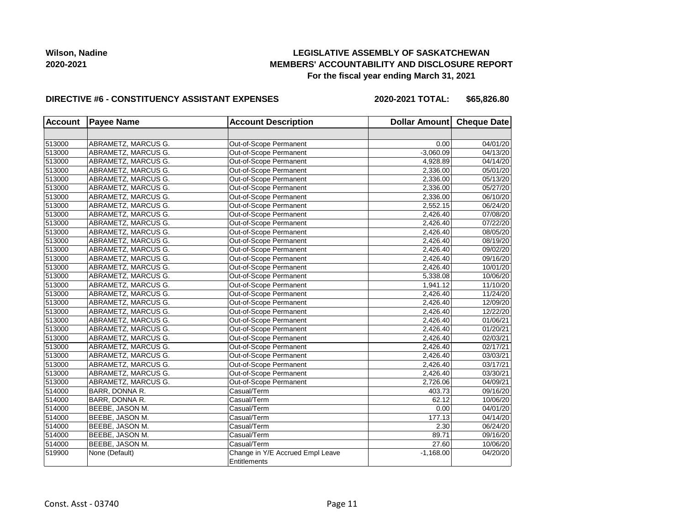## **LEGISLATIVE ASSEMBLY OF SASKATCHEWAN MEMBERS' ACCOUNTABILITY AND DISCLOSURE REPORT For the fiscal year ending March 31, 2021**

#### **DIRECTIVE #6 - CONSTITUENCY ASSISTANT EXPENSES**

**2020-2021 TOTAL: \$65,826.80**

| <b>Account</b> | <b>Payee Name</b>   | <b>Account Description</b>                       | Dollar Amount Cheque Date |          |
|----------------|---------------------|--------------------------------------------------|---------------------------|----------|
|                |                     |                                                  |                           |          |
| 513000         | ABRAMETZ, MARCUS G. | Out-of-Scope Permanent                           | 0.00                      | 04/01/20 |
| 513000         | ABRAMETZ, MARCUS G. | Out-of-Scope Permanent                           | $-3,060.09$               | 04/13/20 |
| 513000         | ABRAMETZ, MARCUS G. | Out-of-Scope Permanent                           | 4,928.89                  | 04/14/20 |
| 513000         | ABRAMETZ, MARCUS G. | Out-of-Scope Permanent                           | 2,336.00                  | 05/01/20 |
| 513000         | ABRAMETZ, MARCUS G. | Out-of-Scope Permanent                           | 2,336.00                  | 05/13/20 |
| 513000         | ABRAMETZ, MARCUS G. | Out-of-Scope Permanent                           | 2,336.00                  | 05/27/20 |
| 513000         | ABRAMETZ, MARCUS G. | Out-of-Scope Permanent                           | 2,336.00                  | 06/10/20 |
| 513000         | ABRAMETZ, MARCUS G. | Out-of-Scope Permanent                           | 2,552.15                  | 06/24/20 |
| 513000         | ABRAMETZ, MARCUS G. | Out-of-Scope Permanent                           | 2,426.40                  | 07/08/20 |
| 513000         | ABRAMETZ, MARCUS G. | Out-of-Scope Permanent                           | 2,426.40                  | 07/22/20 |
| 513000         | ABRAMETZ, MARCUS G. | Out-of-Scope Permanent                           | 2,426.40                  | 08/05/20 |
| 513000         | ABRAMETZ, MARCUS G. | Out-of-Scope Permanent                           | 2,426.40                  | 08/19/20 |
| 513000         | ABRAMETZ, MARCUS G. | Out-of-Scope Permanent                           | 2,426.40                  | 09/02/20 |
| 513000         | ABRAMETZ, MARCUS G. | Out-of-Scope Permanent                           | 2,426.40                  | 09/16/20 |
| 513000         | ABRAMETZ, MARCUS G. | Out-of-Scope Permanent                           | 2,426.40                  | 10/01/20 |
| 513000         | ABRAMETZ, MARCUS G. | Out-of-Scope Permanent                           | 5,338.08                  | 10/06/20 |
| 513000         | ABRAMETZ, MARCUS G. | Out-of-Scope Permanent                           | 1,941.12                  | 11/10/20 |
| 513000         | ABRAMETZ, MARCUS G. | Out-of-Scope Permanent                           | 2,426.40                  | 11/24/20 |
| 513000         | ABRAMETZ, MARCUS G. | Out-of-Scope Permanent                           | 2,426.40                  | 12/09/20 |
| 513000         | ABRAMETZ, MARCUS G. | Out-of-Scope Permanent                           | 2,426.40                  | 12/22/20 |
| 513000         | ABRAMETZ, MARCUS G. | Out-of-Scope Permanent                           | 2,426.40                  | 01/06/21 |
| 513000         | ABRAMETZ, MARCUS G. | Out-of-Scope Permanent                           | 2,426.40                  | 01/20/21 |
| 513000         | ABRAMETZ, MARCUS G. | Out-of-Scope Permanent                           | 2,426.40                  | 02/03/21 |
| 513000         | ABRAMETZ, MARCUS G. | Out-of-Scope Permanent                           | 2,426.40                  | 02/17/21 |
| 513000         | ABRAMETZ, MARCUS G. | Out-of-Scope Permanent                           | 2,426.40                  | 03/03/21 |
| 513000         | ABRAMETZ, MARCUS G. | Out-of-Scope Permanent                           | 2,426.40                  | 03/17/21 |
| 513000         | ABRAMETZ, MARCUS G. | Out-of-Scope Permanent                           | 2,426.40                  | 03/30/21 |
| 513000         | ABRAMETZ, MARCUS G. | Out-of-Scope Permanent                           | 2,726.06                  | 04/09/21 |
| 514000         | BARR, DONNA R.      | Casual/Term                                      | 403.73                    | 09/16/20 |
| 514000         | BARR, DONNA R.      | Casual/Term                                      | 62.12                     | 10/06/20 |
| 514000         | BEEBE, JASON M.     | Casual/Term                                      | 0.00                      | 04/01/20 |
| 514000         | BEEBE, JASON M.     | Casual/Term                                      | 177.13                    | 04/14/20 |
| 514000         | BEEBE, JASON M.     | Casual/Term                                      | 2.30                      | 06/24/20 |
| 514000         | BEEBE, JASON M.     | Casual/Term                                      | 89.71                     | 09/16/20 |
| 514000         | BEEBE, JASON M.     | Casual/Term                                      | 27.60                     | 10/06/20 |
| 519900         | None (Default)      | Change in Y/E Accrued Empl Leave<br>Entitlements | $-1,168.00$               | 04/20/20 |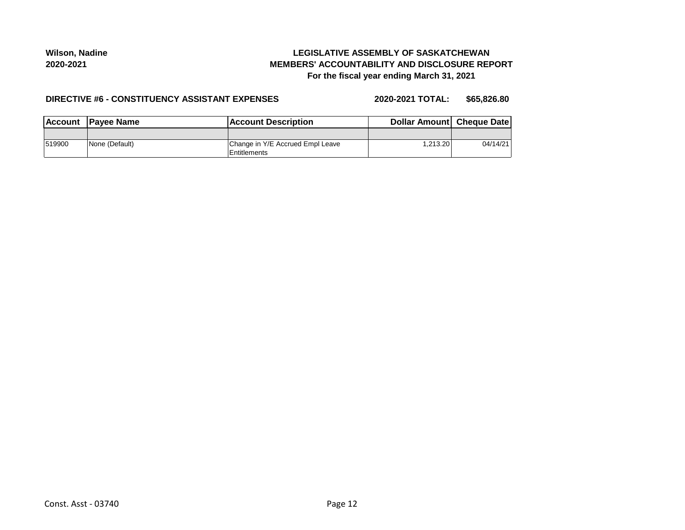## **LEGISLATIVE ASSEMBLY OF SASKATCHEWAN MEMBERS' ACCOUNTABILITY AND DISCLOSURE REPORT For the fiscal year ending March 31, 2021**

#### **DIRECTIVE #6 - CONSTITUENCY ASSISTANT EXPENSES**

**2020-2021 TOTAL: \$65,826.80**

| Account | <b>IPavee Name</b> | <b>IAccount Description</b>                      | <b>Dollar Amountl Cheque Datel</b> |          |
|---------|--------------------|--------------------------------------------------|------------------------------------|----------|
|         |                    |                                                  |                                    |          |
| 519900  | None (Default)     | Change in Y/E Accrued Empl Leave<br>Entitlements | .213.20                            | 04/14/21 |